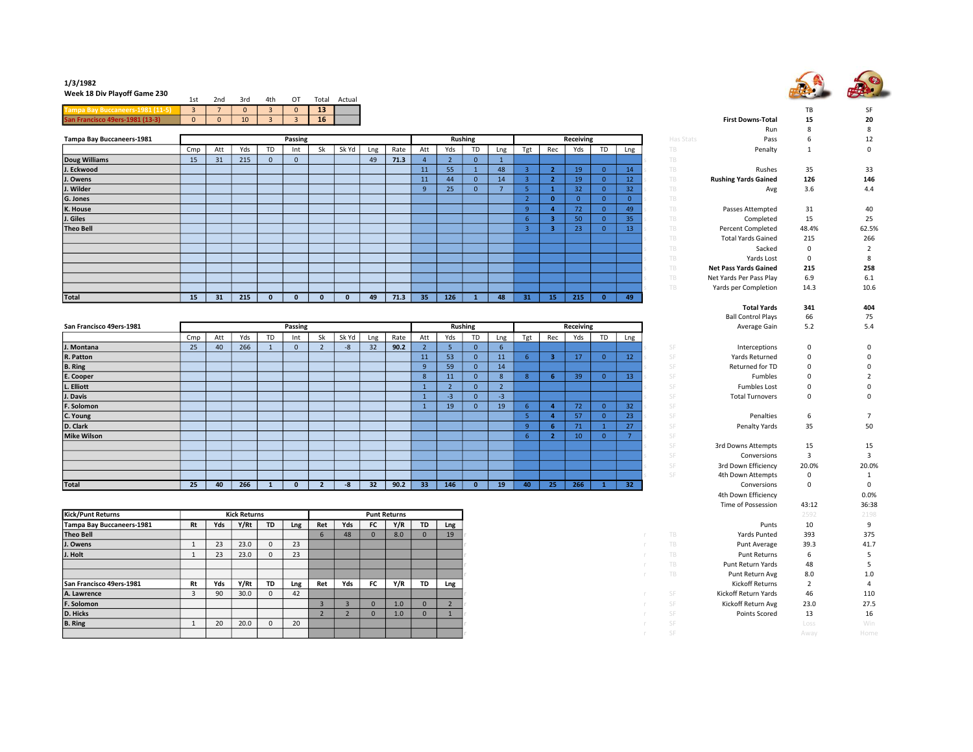

## 1/3/1982

Week 18 Div Playoff Game 230

| <b>WEEK 10 DIV FIGYON GAME 250</b><br>$\mathbf{r}$ and $\mathbf{r}$ and $\mathbf{r}$ and $\mathbf{r}$ and $\mathbf{r}$ and $\mathbf{r}$ and $\mathbf{r}$ and $\mathbf{r}$ and $\mathbf{r}$ and $\mathbf{r}$ and $\mathbf{r}$ and $\mathbf{r}$ and $\mathbf{r}$ and $\mathbf{r}$ and $\mathbf{r}$ and $\mathbf{r}$ and $\mathbf{r}$ and | 1st        | 2nd        | 3rd             | 4th | 0T | Total | Actual |
|----------------------------------------------------------------------------------------------------------------------------------------------------------------------------------------------------------------------------------------------------------------------------------------------------------------------------------------|------------|------------|-----------------|-----|----|-------|--------|
|                                                                                                                                                                                                                                                                                                                                        |            |            | $\Omega$        |     |    | 13    |        |
| <b>Con I</b>                                                                                                                                                                                                                                                                                                                           | $^{\circ}$ | $\sqrt{0}$ | 10 <sup>°</sup> |     |    | 16    |        |

|                           |     |     |     |    |          |    |       |     |      |              |     |                |     |     |                 |              |          |     |           | $\cdots$                     |          |             |
|---------------------------|-----|-----|-----|----|----------|----|-------|-----|------|--------------|-----|----------------|-----|-----|-----------------|--------------|----------|-----|-----------|------------------------------|----------|-------------|
| Tampa Bay Buccaneers-1981 |     |     |     |    | Passing  |    |       |     |      |              |     | <b>Rushing</b> |     |     |                 | Receiving    |          |     | Has Stats | Pass                         |          | 12          |
|                           | Cmp | Att | Yds | TD | Int      | Sk | Sk Yd | Lng | Rate | Att          | Yds | TD             | Lng | Tgt | Rec             | Yds          | TD       | Lng | TB.       | Penalty                      |          | $\mathbf 0$ |
| Doug Williams             | 15  | 31  | 215 |    | $\Omega$ |    |       | 49  | 71.3 |              |     |                |     |     |                 |              |          |     | TB        |                              |          |             |
| J. Eckwood                |     |     |     |    |          |    |       |     |      | 11           | 55  |                | 48  |     |                 | 19           |          | 14  | TB        | Rushes                       | 35       | 33          |
| J. Owens                  |     |     |     |    |          |    |       |     |      | 11           | 44  |                | 14  |     |                 | 19           |          | 12  | TB.       | <b>Rushing Yards Gained</b>  | 126      | 146         |
| J. Wilder                 |     |     |     |    |          |    |       |     |      | $\mathbf{q}$ | 25  |                |     |     |                 | 32           |          | 32  | TB.       | Avg                          | 3.6      | 4.4         |
| G. Jones                  |     |     |     |    |          |    |       |     |      |              |     |                |     |     |                 |              |          |     | TB.       |                              |          |             |
| K. House                  |     |     |     |    |          |    |       |     |      |              |     |                |     | 9   |                 | $72^{\circ}$ | $\Omega$ | 49  | TB        | Passes Attempted             | 31       | 40          |
| J. Giles                  |     |     |     |    |          |    |       |     |      |              |     |                |     | -6  |                 | 50           |          | 35  | TB.       | Completed                    | 15       | 25          |
| <b>Theo Bell</b>          |     |     |     |    |          |    |       |     |      |              |     |                |     |     |                 | 23           |          | 13  | TB        | <b>Percent Completed</b>     | 48.4%    | 62.5%       |
|                           |     |     |     |    |          |    |       |     |      |              |     |                |     |     |                 |              |          |     | TB.       | <b>Total Yards Gained</b>    | 215      | 266         |
|                           |     |     |     |    |          |    |       |     |      |              |     |                |     |     |                 |              |          |     | TB.       | Sacked                       | $\Omega$ |             |
|                           |     |     |     |    |          |    |       |     |      |              |     |                |     |     |                 |              |          |     | TB        | Yards Lost                   | 0        | 8           |
|                           |     |     |     |    |          |    |       |     |      |              |     |                |     |     |                 |              |          |     | TB        | <b>Net Pass Yards Gained</b> | 215      | 258         |
|                           |     |     |     |    |          |    |       |     |      |              |     |                |     |     |                 |              |          |     | TB        | Net Yards Per Pass Play      | 6.9      | 6.1         |
|                           |     |     |     |    |          |    |       |     |      |              |     |                |     |     |                 |              |          |     | TB        | Yards per Completion         | 14.3     | 10.6        |
| Total                     | 15  | 31  | 215 |    |          | n  |       | 49  | 71.3 | 35           | 126 |                | 48  | 31  | 15 <sub>1</sub> | 215          |          | 49  |           |                              |          |             |

| San Francisco 49ers-1981 |     |     |     |    | Passing      |    |       |     |      |                 |     | <b>Rushing</b> |              |     |     | Receiving |    |                 |                  | Average Gain           | 5.2          | 5.4          |
|--------------------------|-----|-----|-----|----|--------------|----|-------|-----|------|-----------------|-----|----------------|--------------|-----|-----|-----------|----|-----------------|------------------|------------------------|--------------|--------------|
|                          | Cmp | Att | Yds | TD | Int          | Sk | Sk Yd | Lng | Rate | Att             | Yds | <b>TD</b>      | Lng          | Tgt | Rec | Yds       | TD | Lng             |                  |                        |              |              |
| J. Montana               | 25  | 40  | 266 |    | $\mathbf{0}$ |    | $-8$  | 32  | 90.2 |                 |     |                | $\mathbf{b}$ |     |     |           |    |                 | SF               | Interceptions          | $\mathbf 0$  | 0            |
| R. Patton                |     |     |     |    |              |    |       |     |      | 11              | 53  |                | 11           |     |     | 17        |    | 12              | SF               | Yards Returned         | $\Omega$     | $\mathbf{0}$ |
| B. Ring                  |     |     |     |    |              |    |       |     |      | 9               | 59  |                | 14           |     |     |           |    |                 | $C \sqsubseteq$  | Returned for TD        |              | $\mathbf 0$  |
| E. Cooper                |     |     |     |    |              |    |       |     |      | 8               | 11  |                |              |     | -6  | 39        |    | 13              | CE               | Fumbles                |              |              |
| L. Elliott               |     |     |     |    |              |    |       |     |      |                 |     |                |              |     |     |           |    |                 | <b>CE</b>        | <b>Fumbles Lost</b>    |              | $\mathbf{0}$ |
| J. Davis                 |     |     |     |    |              |    |       |     |      |                 | -3  |                | $-3$         |     |     |           |    |                 | SF               | <b>Total Turnovers</b> | $\Omega$     | $\mathbf 0$  |
| F. Solomon               |     |     |     |    |              |    |       |     |      |                 | 19  |                | 19           |     |     | 72        |    | 32              | CE               |                        |              |              |
| C. Young                 |     |     |     |    |              |    |       |     |      |                 |     |                |              |     |     | 57        |    | 23              | <b>CE</b>        | Penalties              | $\mathbf{b}$ |              |
| D. Clark                 |     |     |     |    |              |    |       |     |      |                 |     |                |              |     | 6.  | 71        |    | 27              |                  | Penalty Yards          | 35           | 50           |
| <b>Mike Wilson</b>       |     |     |     |    |              |    |       |     |      |                 |     |                |              |     |     | 10        |    |                 |                  |                        |              |              |
|                          |     |     |     |    |              |    |       |     |      |                 |     |                |              |     |     |           |    |                 | SF               | 3rd Downs Attempts     | 15           | 15           |
|                          |     |     |     |    |              |    |       |     |      |                 |     |                |              |     |     |           |    |                 | SF               | Conversions            | $\mathbf{3}$ |              |
|                          |     |     |     |    |              |    |       |     |      |                 |     |                |              |     |     |           |    |                 | SF               | 3rd Down Efficiency    | 20.0%        | 20.0%        |
|                          |     |     |     |    |              |    |       |     |      |                 |     |                |              |     |     |           |    |                 | $S_{\mathbb{F}}$ | 4th Down Attempts      | $\Omega$     |              |
| Total                    | 25  | 40  | 266 |    | 0            |    | -8    | 32  | 90.2 | 33 <sup>°</sup> | 146 |                | 19           | 40  | 25  | 266       |    | 32 <sub>2</sub> |                  | Conversions            | $\Omega$     | $\mathbf 0$  |

| <b>TD</b><br>Y/Rt<br>Y/R<br><b>TD</b><br>Yds<br>FC.<br>10<br>Yds<br>Ret<br>Punts<br>Rt<br>Lng<br>Lng<br>9<br>393<br>375<br>8.0<br>TB<br>Yards Punted<br>48<br>19<br>$\Omega$<br>23<br>23.0<br>23<br>39.3<br>41.7<br>TB<br>Punt Average<br>23<br>23<br>23.0<br>TB<br><b>Punt Returns</b><br>6<br>U<br>TB<br>48<br>Punt Return Yards<br>TB<br>8.0<br>Punt Return Avg<br>1.0<br>Yds<br>Y/R<br>Y/Rt<br><b>FC</b><br><b>TD</b><br>Kickoff Returns<br>Yds<br><b>TD</b><br>Ret<br>Rt<br>Lng<br>Lng<br>42<br>90<br>30.0<br>Kickoff Return Yards<br>46<br>110<br>SF<br>$\Omega$<br>Kickoff Return Avg<br>27.5<br>23.0<br>1.0<br>SF<br>$\Omega$<br>$\Omega$<br>SF<br>Points Scored<br>13<br>16<br>1.0<br>$\Omega$<br>20<br>20.0<br>20<br>Win<br>SF<br>Loss<br>$^{\circ}$<br>SF<br>Home<br>Away | Kick/Punt Returns         |  | <b>Kick Returns</b> |  |  | <b>Punt Returns</b> |  |  |  | 2592 | 2198 |
|--------------------------------------------------------------------------------------------------------------------------------------------------------------------------------------------------------------------------------------------------------------------------------------------------------------------------------------------------------------------------------------------------------------------------------------------------------------------------------------------------------------------------------------------------------------------------------------------------------------------------------------------------------------------------------------------------------------------------------------------------------------------------------------|---------------------------|--|---------------------|--|--|---------------------|--|--|--|------|------|
|                                                                                                                                                                                                                                                                                                                                                                                                                                                                                                                                                                                                                                                                                                                                                                                      | Tampa Bay Buccaneers-1981 |  |                     |  |  |                     |  |  |  |      |      |
|                                                                                                                                                                                                                                                                                                                                                                                                                                                                                                                                                                                                                                                                                                                                                                                      | Theo Bell                 |  |                     |  |  |                     |  |  |  |      |      |
|                                                                                                                                                                                                                                                                                                                                                                                                                                                                                                                                                                                                                                                                                                                                                                                      | J. Owens                  |  |                     |  |  |                     |  |  |  |      |      |
|                                                                                                                                                                                                                                                                                                                                                                                                                                                                                                                                                                                                                                                                                                                                                                                      | J. Holt                   |  |                     |  |  |                     |  |  |  |      |      |
|                                                                                                                                                                                                                                                                                                                                                                                                                                                                                                                                                                                                                                                                                                                                                                                      |                           |  |                     |  |  |                     |  |  |  |      |      |
|                                                                                                                                                                                                                                                                                                                                                                                                                                                                                                                                                                                                                                                                                                                                                                                      |                           |  |                     |  |  |                     |  |  |  |      |      |
|                                                                                                                                                                                                                                                                                                                                                                                                                                                                                                                                                                                                                                                                                                                                                                                      | San Francisco 49ers-1981  |  |                     |  |  |                     |  |  |  |      |      |
|                                                                                                                                                                                                                                                                                                                                                                                                                                                                                                                                                                                                                                                                                                                                                                                      | A. Lawrence               |  |                     |  |  |                     |  |  |  |      |      |
|                                                                                                                                                                                                                                                                                                                                                                                                                                                                                                                                                                                                                                                                                                                                                                                      | F. Solomon                |  |                     |  |  |                     |  |  |  |      |      |
|                                                                                                                                                                                                                                                                                                                                                                                                                                                                                                                                                                                                                                                                                                                                                                                      | D. Hicks                  |  |                     |  |  |                     |  |  |  |      |      |
|                                                                                                                                                                                                                                                                                                                                                                                                                                                                                                                                                                                                                                                                                                                                                                                      | B. Ring                   |  |                     |  |  |                     |  |  |  |      |      |
|                                                                                                                                                                                                                                                                                                                                                                                                                                                                                                                                                                                                                                                                                                                                                                                      |                           |  |                     |  |  |                     |  |  |  |      |      |

|                |                  |                  |                      |                |                         |                |           |                              | TB             | SF             |
|----------------|------------------|------------------|----------------------|----------------|-------------------------|----------------|-----------|------------------------------|----------------|----------------|
|                |                  |                  |                      |                |                         |                |           | <b>First Downs-Total</b>     | 15             | 20             |
|                |                  |                  |                      |                |                         |                |           | Run                          | 8              | 8              |
| ing            |                  |                  |                      | Receiving      |                         |                | Has Stats | Pass                         | 6              | 12             |
| TD             | Lng              | Tgt              | Rec                  | Yds            | <b>TD</b>               | Lng            | TB        | Penalty                      | 1              | 0              |
| $\mathbf 0$    | $\mathbf{1}$     |                  |                      |                |                         |                | TB        |                              |                |                |
| $\mathbf{1}$   | 48               | $\overline{3}$   | $\overline{2}$       | 19             | $\mathbf{0}$            | 14             | TB        | Rushes                       | 35             | 33             |
| $\mathbf{0}$   | 14               | $\overline{3}$   | $\overline{2}$       | 19             | $\overline{0}$          | 12             | TB        | <b>Rushing Yards Gained</b>  | 126            | 146            |
| $\mathbf{0}$   | $\overline{7}$   | 5                | $\mathbf{1}$         | 32             | $\mathbf{0}$            | 32             | TB        | Avg                          | 3.6            | 4.4            |
|                |                  | $\overline{2}$   | $\mathbf{0}$         | $\overline{0}$ | $\overline{0}$          | $\mathbf{0}$   | TB<br>Ś   |                              |                |                |
|                |                  | 9                | $\ddot{\phantom{a}}$ | 72             | $\mathbf{0}$            | 49             | TB        | Passes Attempted             | 31             | 40             |
|                |                  | 6                | 3                    | 50             | $\overline{0}$          | 35             | TB        | Completed                    | 15             | 25             |
|                |                  | $\overline{3}$   | 3                    | 23             | $\overline{0}$          | 13             | TB<br>S   | <b>Percent Completed</b>     | 48.4%          | 62.5%          |
|                |                  |                  |                      |                |                         |                | TB<br>Ś   | <b>Total Yards Gained</b>    | 215            | 266            |
|                |                  |                  |                      |                |                         |                | TB        | Sacked                       | 0              | $\overline{2}$ |
|                |                  |                  |                      |                |                         |                | TB        | Yards Lost                   | $\mathbf 0$    | 8              |
|                |                  |                  |                      |                |                         |                | TB        | <b>Net Pass Yards Gained</b> | 215            | 258            |
|                |                  |                  |                      |                |                         |                | TB        | Net Yards Per Pass Play      | 6.9            | 6.1            |
|                |                  |                  |                      |                |                         |                | TB        | Yards per Completion         | 14.3           | 10.6           |
| ${\bf 1}$      | 48               | 31               | 15                   | 215            | $\overline{\mathbf{0}}$ | 49             |           |                              |                |                |
|                |                  |                  |                      |                |                         |                |           | <b>Total Yards</b>           | 341            | 404            |
|                |                  |                  |                      |                |                         |                |           | <b>Ball Control Plays</b>    | 66             | 75             |
| ing            |                  |                  |                      | Receiving      |                         |                |           | Average Gain                 | 5.2            | 5.4            |
| TD             | Lng              | Tgt              | Rec                  | Yds            | <b>TD</b>               | Lng            |           |                              |                |                |
| $\mathbf{0}$   | $\boldsymbol{6}$ |                  |                      |                |                         |                | SF        | Interceptions                | 0              | 0              |
| $\overline{0}$ | 11               | $6\phantom{1}$   | 3                    | 17             | $\overline{0}$          | 12             | SF        | Yards Returned               | 0              | 0              |
| $\mathbf{0}$   | 14               |                  |                      |                |                         |                | SF        | Returned for TD              | 0              | 0              |
| $\mathbf{0}$   | 8                | $\boldsymbol{8}$ | $6\phantom{1}$       | 39             | $\overline{0}$          | 13             | SF        | Fumbles                      | 0              | $\overline{2}$ |
| $\overline{0}$ | $\overline{2}$   |                  |                      |                |                         |                | SF        | <b>Fumbles Lost</b>          | 0              | 0              |
| $\mathbf 0$    | $-3$             |                  |                      |                |                         |                | SF        | <b>Total Turnovers</b>       | 0              | 0              |
| $\overline{0}$ | 19               | $6\phantom{1}$   | 4                    | 72             | $\mathbf{0}$            | 32             | SF        |                              |                |                |
|                |                  | 5                | 4                    | 57             | $\overline{0}$          | 23             | SF<br>Ś   | Penalties                    | 6              | $\overline{7}$ |
|                |                  | 9                | $6\phantom{1}$       | 71             | $\mathbf{1}$            | 27             | SF        | Penalty Yards                | 35             | 50             |
|                |                  | 6                | $\overline{2}$       | 10             | $\overline{0}$          | $\overline{7}$ | SF<br>S   |                              |                |                |
|                |                  |                  |                      |                |                         |                | SF        | 3rd Downs Attempts           | 15             | 15             |
|                |                  |                  |                      |                |                         |                | SF        | Conversions                  | 3              | 3              |
|                |                  |                  |                      |                |                         |                | SF        | 3rd Down Efficiency          | 20.0%          | 20.0%          |
|                |                  |                  |                      |                |                         |                | SF        | 4th Down Attempts            | 0              | $\mathbf{1}$   |
| $\overline{0}$ | 19               | 40               | 25                   | 266            | $\mathbf{1}$            | 32             |           | Conversions                  | 0              | $\pmb{0}$      |
|                |                  |                  |                      |                |                         |                |           | 4th Down Efficiency          |                | 0.0%           |
|                |                  |                  |                      |                |                         |                |           | Time of Possession           | 43:12          | 36:38          |
|                |                  |                  |                      |                |                         |                |           |                              | 2592           | 2198           |
|                |                  |                  |                      |                |                         |                |           | Punts                        | 10             | 9              |
|                |                  |                  |                      |                |                         |                | TB        | <b>Yards Punted</b>          | 393            | 375            |
| r              |                  |                  |                      |                |                         |                | TB        | Punt Average                 | 39.3           | 41.7           |
|                |                  |                  |                      |                |                         |                | TB        | <b>Punt Returns</b>          | 6              | 5              |
| r<br>r         |                  |                  |                      |                |                         |                | TB        | Punt Return Yards            | 48             | 5              |
| r              |                  |                  |                      |                |                         |                | TB<br>r   | Punt Return Avg              | 8.0            | 1.0            |
|                |                  |                  |                      |                |                         |                |           | <b>Kickoff Returns</b>       | $\overline{2}$ | 4              |
|                |                  |                  |                      |                |                         |                |           |                              |                |                |
| r              |                  |                  |                      |                |                         |                | SF        | Kickoff Return Yards         | 46             | 110            |
| r              |                  |                  |                      |                |                         |                | SF        | Kickoff Return Avg           | 23.0           | 27.5           |
|                |                  |                  |                      |                |                         |                | SF        | Points Scored                | 13             | 16             |
|                |                  |                  |                      |                |                         |                | SF        |                              | Loss           | <b>Win</b>     |
|                |                  |                  |                      |                |                         |                | SF        |                              | Away           | Home           |